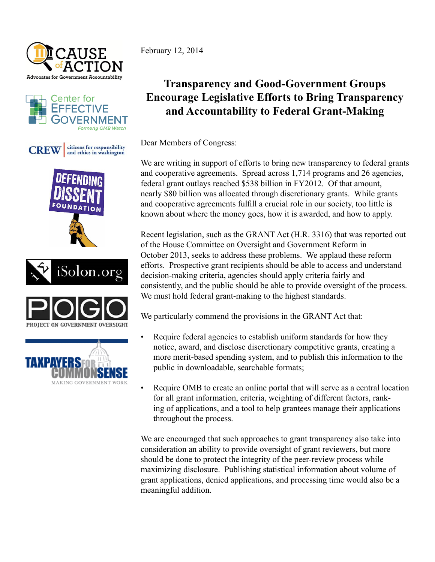













February 12, 2014

## **Transparency and Good-Government Groups Encourage Legislative Efforts to Bring Transparency and Accountability to Federal Grant-Making**

Dear Members of Congress:

We are writing in support of efforts to bring new transparency to federal grants and cooperative agreements. Spread across 1,714 programs and 26 agencies, federal grant outlays reached \$538 billion in FY2012. Of that amount, nearly \$80 billion was allocated through discretionary grants. While grants and cooperative agreements fulfill a crucial role in our society, too little is known about where the money goes, how it is awarded, and how to apply.

Recent legislation, such as the GRANT Act (H.R. 3316) that was reported out of the House Committee on Oversight and Government Reform in October 2013, seeks to address these problems. We applaud these reform efforts. Prospective grant recipients should be able to access and understand decision-making criteria, agencies should apply criteria fairly and consistently, and the public should be able to provide oversight of the process. We must hold federal grant-making to the highest standards.

We particularly commend the provisions in the GRANT Act that:

- Require federal agencies to establish uniform standards for how they notice, award, and disclose discretionary competitive grants, creating a more merit-based spending system, and to publish this information to the public in downloadable, searchable formats;
- Require OMB to create an online portal that will serve as a central location for all grant information, criteria, weighting of different factors, ranking of applications, and a tool to help grantees manage their applications throughout the process.

We are encouraged that such approaches to grant transparency also take into consideration an ability to provide oversight of grant reviewers, but more should be done to protect the integrity of the peer-review process while maximizing disclosure. Publishing statistical information about volume of grant applications, denied applications, and processing time would also be a meaningful addition.